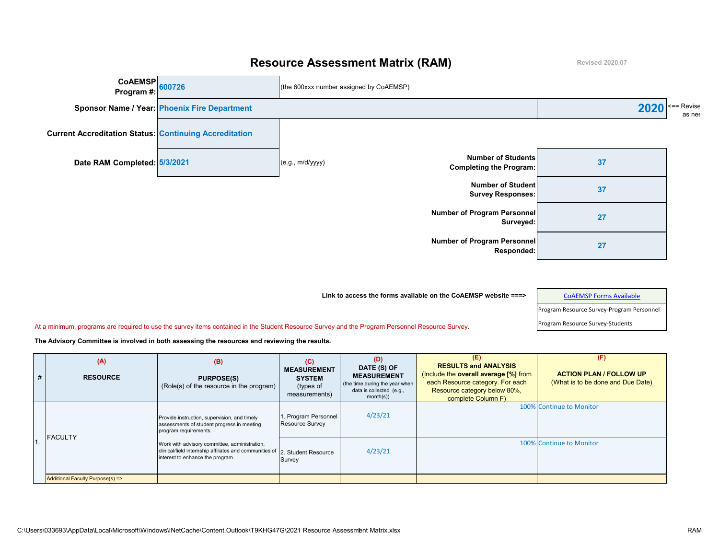## **Resource Assessment Matrix (RAM)**

**Revised 2020.07**



| Link to access the forms available on the CoAEMSP website $==$ |  |
|----------------------------------------------------------------|--|
|                                                                |  |

## [CoAEMSP Forms Available](https://coaemsp.org/resource-library)

Program Resource Survey-Program Personnel

At a minimum, programs are required to use the survey items contained in the Student Resource Survey and the Program Personnel Resource Survey.

| # | (A)<br><b>RESOURCE</b>           | (B)<br><b>PURPOSE(S)</b><br>(Role(s) of the resource in the program)                                                         | (C)<br><b>MEASUREMENT</b><br><b>SYSTEM</b><br>(types of<br>measurements) | (D)<br>DATE (S) OF<br><b>MEASUREMENT</b><br>(the time during the year when<br>data is collected (e.g.,<br>month(s) | (E)<br><b>RESULTS and ANALYSIS</b><br>(Include the overall average [%] from<br>each Resource category. For each<br>Resource category below 80%,<br>complete Column F) | (F)<br><b>ACTION PLAN / FOLLOW UP</b><br>(What is to be done and Due Date) |
|---|----------------------------------|------------------------------------------------------------------------------------------------------------------------------|--------------------------------------------------------------------------|--------------------------------------------------------------------------------------------------------------------|-----------------------------------------------------------------------------------------------------------------------------------------------------------------------|----------------------------------------------------------------------------|
|   | <b>IFACULTY</b>                  | Provide instruction, supervision, and timely<br>assessments of student progress in meeting<br>program requirements.          | 1. Program Personnel<br>Resource Survey                                  | 4/23/21                                                                                                            |                                                                                                                                                                       | 100% Continue to Monitor                                                   |
|   | interest to enhance the program. | Work with advisory committee, administration,<br>clinical/field internship affiliates and communities of 2. Student Resource | Survey                                                                   | 4/23/21                                                                                                            |                                                                                                                                                                       | 100% Continue to Monitor                                                   |
|   | Additional Faculty Purpose(s) => |                                                                                                                              |                                                                          |                                                                                                                    |                                                                                                                                                                       |                                                                            |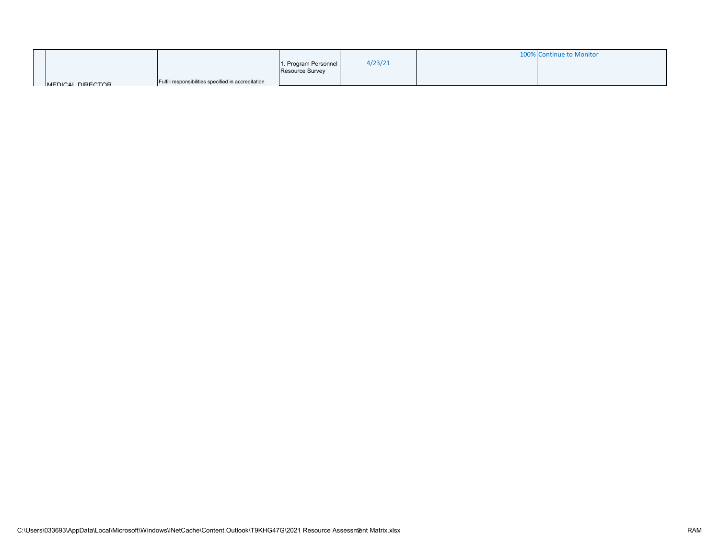|                  |                                                     |                        |         | 100% Continue to Monitor |
|------------------|-----------------------------------------------------|------------------------|---------|--------------------------|
|                  |                                                     | 1. Program Personnel   | 4/23/21 |                          |
|                  |                                                     | <b>Resource Survey</b> |         |                          |
| MEDICAL DIRECTOR | Fulfill responsibilities specified in accreditation |                        |         |                          |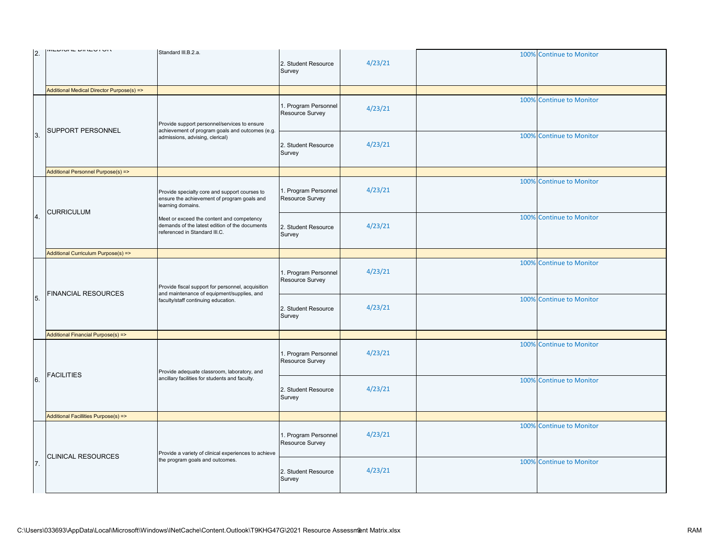| <sup>2.</sup>    | <b>WEDIONE DIRECTOR</b>                                                                                                                                              | Standard III.B.2.a.                                                                                                          | 2. Student Resource<br>Survey           | 4/23/21 | 100% | <b>Continue to Monitor</b> |
|------------------|----------------------------------------------------------------------------------------------------------------------------------------------------------------------|------------------------------------------------------------------------------------------------------------------------------|-----------------------------------------|---------|------|----------------------------|
|                  | Additional Medical Director Purpose(s) =>                                                                                                                            |                                                                                                                              |                                         |         |      |                            |
| 3.               | Provide support personnel/services to ensure                                                                                                                         |                                                                                                                              | 1. Program Personnel<br>Resource Survey | 4/23/21 | 100% | <b>Continue to Monitor</b> |
|                  | SUPPORT PERSONNEL                                                                                                                                                    | achievement of program goals and outcomes (e.g.<br>admissions, advising, clerical)                                           | 2. Student Resource<br>Survey           | 4/23/21 | 100% | <b>Continue to Monitor</b> |
|                  | Additional Personnel Purpose(s) =>                                                                                                                                   |                                                                                                                              |                                         |         |      |                            |
| $\overline{4}$ . |                                                                                                                                                                      | Provide specialty core and support courses to<br>ensure the achievement of program goals and<br>learning domains.            | 1. Program Personnel<br>Resource Survey | 4/23/21 | 100% | <b>Continue to Monitor</b> |
|                  | <b>CURRICULUM</b>                                                                                                                                                    | Meet or exceed the content and competency<br>demands of the latest edition of the documents<br>referenced in Standard III.C. | 2. Student Resource<br>Survey           | 4/23/21 | 100% | <b>Continue to Monitor</b> |
|                  | Additional Curriculum Purpose(s) =>                                                                                                                                  |                                                                                                                              |                                         |         |      |                            |
|                  | Provide fiscal support for personnel, acquisition<br><b>FINANCIAL RESOURCES</b><br>and maintenance of equipment/supplies, and<br>faculty/staff continuing education. |                                                                                                                              | 1. Program Personnel<br>Resource Survey | 4/23/21 | 100% | <b>Continue to Monitor</b> |
| 5.               |                                                                                                                                                                      |                                                                                                                              | 2. Student Resource<br>Survey           | 4/23/21 | 100% | <b>Continue to Monitor</b> |
|                  | Additional Financial Purpose(s) =>                                                                                                                                   |                                                                                                                              |                                         |         |      |                            |
| 6.               | Provide adequate classroom, laboratory, and<br><b>FACILITIES</b><br>ancillary facilities for students and faculty.                                                   |                                                                                                                              | 1. Program Personnel<br>Resource Survey | 4/23/21 | 100% | <b>Continue to Monitor</b> |
|                  |                                                                                                                                                                      |                                                                                                                              | 2. Student Resource<br>Survey           | 4/23/21 | 100% | <b>Continue to Monitor</b> |
|                  | Additional Facillities Purpose(s) =>                                                                                                                                 |                                                                                                                              |                                         |         |      |                            |
| 7.               | <b>CLINICAL RESOURCES</b>                                                                                                                                            | Provide a variety of clinical experiences to achieve                                                                         | 1. Program Personnel<br>Resource Survey | 4/23/21 | 100% | <b>Continue to Monitor</b> |
|                  |                                                                                                                                                                      | the program goals and outcomes.                                                                                              | 2. Student Resource<br>Survey           | 4/23/21 | 100% | <b>Continue to Monitor</b> |